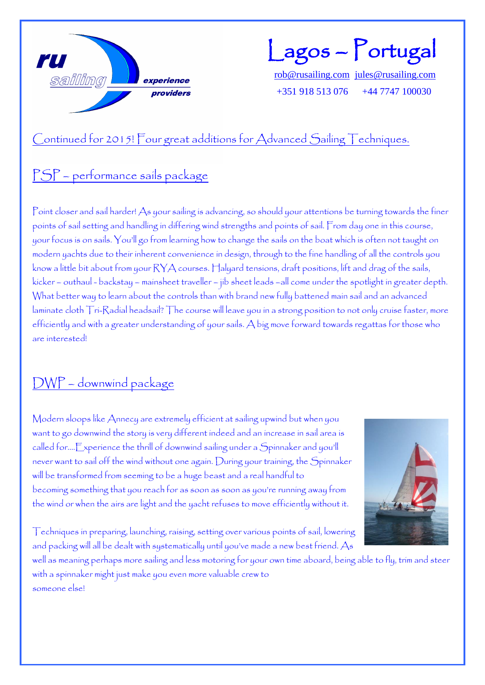

Lagos – Portugal

[rob@rusailing.com](mailto:rob@rusailing.com) [jules@rusailing.com](mailto:jules@rusailing.com) +351 918 513 076 +44 7747 100030

## Continued for 2015! Four great additions for Advanced Sailing Techniques.

#### PSP – performance sails package

Point closer and sail harder! As your sailing is advancing, so should your attentions be turning towards the finer points of sail setting and handling in differing wind strengths and points of sail. From day one in this course, your focus is on sails. You'll go from learning how to change the sails on the boat which is often not taught on modern yachts due to their inherent convenience in design, through to the fine handling of all the controls you know a little bit about from your RYA courses. Halyard tensions, draft positions, lift and drag of the sails, kicker – outhaul - backstay – mainsheet traveller – jib sheet leads –all come under the spotlight in greater depth. What better way to learn about the controls than with brand new fully battened main sail and an advanced laminate cloth Tri-Radial headsail? The course will leave you in a strong position to not only cruise faster, more efficiently and with a greater understanding of your sails. A big move forward towards regattas for those who are interested!

## DWP – downwind package

Modern sloops like Annecy are extremely efficient at sailing upwind but when you want to go downwind the story is very different indeed and an increase in sail area is called for….Experience the thrill of downwind sailing under a Spinnaker and you'll never want to sail off the wind without one again. During your training, the Spinnaker will be transformed from seeming to be a huge beast and a real handful to becoming something that you reach for as soon as soon as you're running away from the wind or when the airs are light and the yacht refuses to move efficiently without it.



Techniques in preparing, launching, raising, setting over various points of sail, lowering and packing will all be dealt with systematically until you've made a new best friend. As

well as meaning perhaps more sailing and less motoring for your own time aboard, being able to fly, trim and steer with a spinnaker might just make you even more valuable crew to someone else!